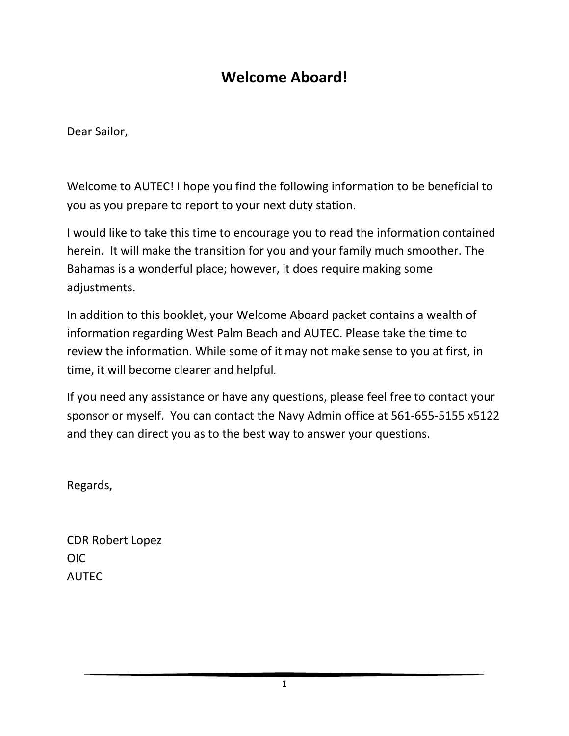# **Welcome Aboard!**

Dear Sailor,

Welcome to AUTEC! I hope you find the following information to be beneficial to you as you prepare to report to your next duty station.

I would like to take this time to encourage you to read the information contained herein. It will make the transition for you and your family much smoother. The Bahamas is a wonderful place; however, it does require making some adjustments.

In addition to this booklet, your Welcome Aboard packet contains a wealth of information regarding West Palm Beach and AUTEC. Please take the time to review the information. While some of it may not make sense to you at first, in time, it will become clearer and helpful.

If you need any assistance or have any questions, please feel free to contact your sponsor or myself. You can contact the Navy Admin office at 561-655-5155 x5122 and they can direct you as to the best way to answer your questions.

Regards,

CDR Robert Lopez OIC AUTEC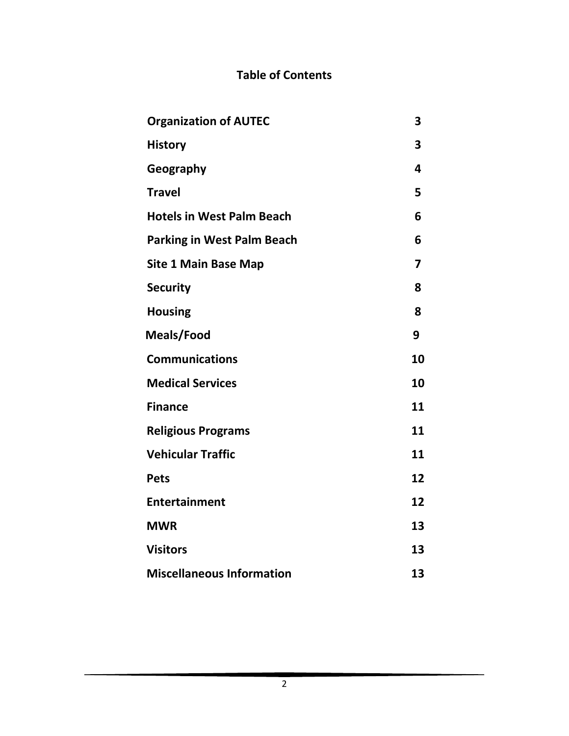#### **Table of Contents**

| <b>Organization of AUTEC</b>      | 3                       |
|-----------------------------------|-------------------------|
| <b>History</b>                    | 3                       |
| Geography                         | 4                       |
| <b>Travel</b>                     | 5                       |
| <b>Hotels in West Palm Beach</b>  | 6                       |
| <b>Parking in West Palm Beach</b> | 6                       |
| <b>Site 1 Main Base Map</b>       | $\overline{\mathbf{z}}$ |
| <b>Security</b>                   | 8                       |
| <b>Housing</b>                    | 8                       |
| Meals/Food                        | 9                       |
| <b>Communications</b>             | 10                      |
| <b>Medical Services</b>           | 10                      |
| <b>Finance</b>                    | 11                      |
| <b>Religious Programs</b>         | 11                      |
| <b>Vehicular Traffic</b>          | 11                      |
| <b>Pets</b>                       | 12                      |
| <b>Entertainment</b>              | 12                      |
| <b>MWR</b>                        | 13                      |
| <b>Visitors</b>                   | 13                      |
| <b>Miscellaneous Information</b>  | 13                      |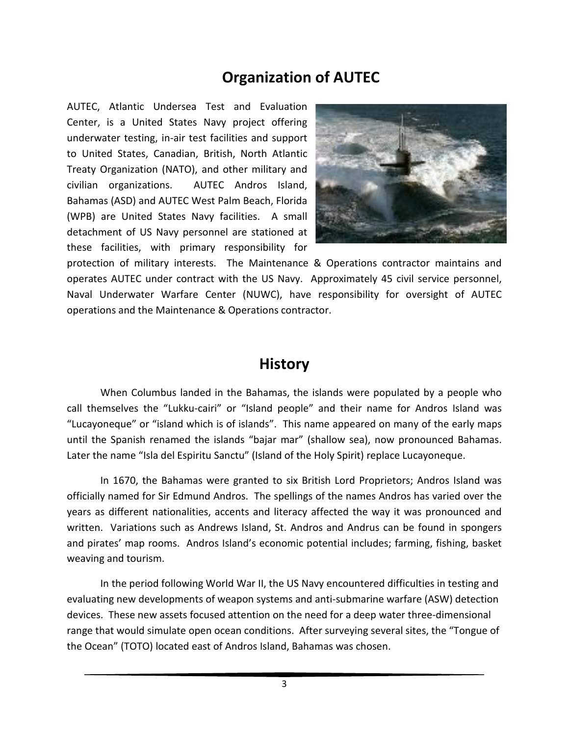### **Organization of AUTEC**

AUTEC, Atlantic Undersea Test and Evaluation Center, is a United States Navy project offering underwater testing, in-air test facilities and support to United States, Canadian, British, North Atlantic Treaty Organization (NATO), and other military and civilian organizations. AUTEC Andros Island, Bahamas (ASD) and AUTEC West Palm Beach, Florida (WPB) are United States Navy facilities. A small detachment of US Navy personnel are stationed at these facilities, with primary responsibility for



protection of military interests. The Maintenance & Operations contractor maintains and operates AUTEC under contract with the US Navy. Approximately 45 civil service personnel, Naval Underwater Warfare Center (NUWC), have responsibility for oversight of AUTEC operations and the Maintenance & Operations contractor.

#### **History**

When Columbus landed in the Bahamas, the islands were populated by a people who call themselves the "Lukku-cairi" or "Island people" and their name for Andros Island was "Lucayoneque" or "island which is of islands". This name appeared on many of the early maps until the Spanish renamed the islands "bajar mar" (shallow sea), now pronounced Bahamas. Later the name "Isla del Espiritu Sanctu" (Island of the Holy Spirit) replace Lucayoneque.

In 1670, the Bahamas were granted to six British Lord Proprietors; Andros Island was officially named for Sir Edmund Andros. The spellings of the names Andros has varied over the years as different nationalities, accents and literacy affected the way it was pronounced and written. Variations such as Andrews Island, St. Andros and Andrus can be found in spongers and pirates' map rooms. Andros Island's economic potential includes; farming, fishing, basket weaving and tourism.

In the period following World War II, the US Navy encountered difficulties in testing and evaluating new developments of weapon systems and anti-submarine warfare (ASW) detection devices. These new assets focused attention on the need for a deep water three-dimensional range that would simulate open ocean conditions. After surveying several sites, the "Tongue of the Ocean" (TOTO) located east of Andros Island, Bahamas was chosen.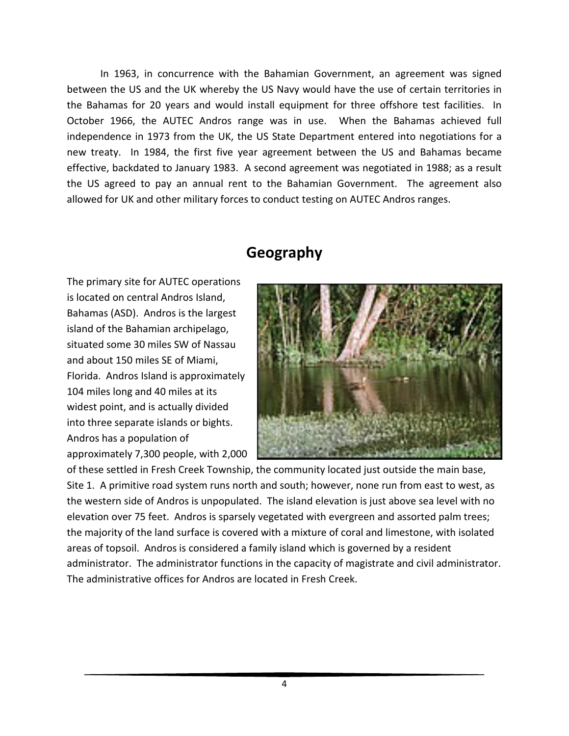In 1963, in concurrence with the Bahamian Government, an agreement was signed between the US and the UK whereby the US Navy would have the use of certain territories in the Bahamas for 20 years and would install equipment for three offshore test facilities. In October 1966, the AUTEC Andros range was in use. When the Bahamas achieved full independence in 1973 from the UK, the US State Department entered into negotiations for a new treaty. In 1984, the first five year agreement between the US and Bahamas became effective, backdated to January 1983. A second agreement was negotiated in 1988; as a result the US agreed to pay an annual rent to the Bahamian Government. The agreement also allowed for UK and other military forces to conduct testing on AUTEC Andros ranges.

# **Geography**

The primary site for AUTEC operations is located on central Andros Island, Bahamas (ASD). Andros is the largest island of the Bahamian archipelago, situated some 30 miles SW of Nassau and about 150 miles SE of Miami, Florida. Andros Island is approximately 104 miles long and 40 miles at its widest point, and is actually divided into three separate islands or bights. Andros has a population of approximately 7,300 people, with 2,000



of these settled in Fresh Creek Township, the community located just outside the main base, Site 1. A primitive road system runs north and south; however, none run from east to west, as the western side of Andros is unpopulated. The island elevation is just above sea level with no elevation over 75 feet. Andros is sparsely vegetated with evergreen and assorted palm trees; the majority of the land surface is covered with a mixture of coral and limestone, with isolated areas of topsoil. Andros is considered a family island which is governed by a resident administrator. The administrator functions in the capacity of magistrate and civil administrator. The administrative offices for Andros are located in Fresh Creek.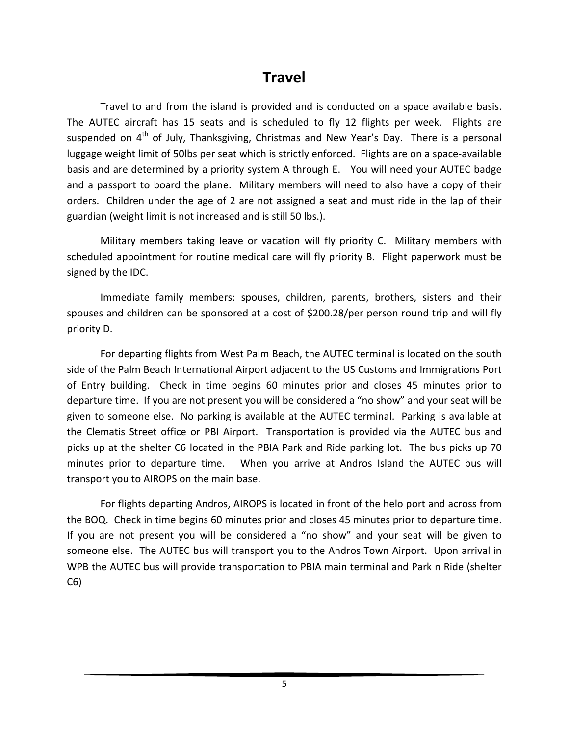### **Travel**

Travel to and from the island is provided and is conducted on a space available basis. The AUTEC aircraft has 15 seats and is scheduled to fly 12 flights per week. Flights are suspended on  $4<sup>th</sup>$  of July, Thanksgiving, Christmas and New Year's Day. There is a personal luggage weight limit of 50lbs per seat which is strictly enforced. Flights are on a space-available basis and are determined by a priority system A through E. You will need your AUTEC badge and a passport to board the plane. Military members will need to also have a copy of their orders. Children under the age of 2 are not assigned a seat and must ride in the lap of their guardian (weight limit is not increased and is still 50 lbs.).

Military members taking leave or vacation will fly priority C. Military members with scheduled appointment for routine medical care will fly priority B. Flight paperwork must be signed by the IDC.

Immediate family members: spouses, children, parents, brothers, sisters and their spouses and children can be sponsored at a cost of \$200.28/per person round trip and will fly priority D.

For departing flights from West Palm Beach, the AUTEC terminal is located on the south side of the Palm Beach International Airport adjacent to the US Customs and Immigrations Port of Entry building. Check in time begins 60 minutes prior and closes 45 minutes prior to departure time. If you are not present you will be considered a "no show" and your seat will be given to someone else. No parking is available at the AUTEC terminal. Parking is available at the Clematis Street office or PBI Airport. Transportation is provided via the AUTEC bus and picks up at the shelter C6 located in the PBIA Park and Ride parking lot. The bus picks up 70 minutes prior to departure time. When you arrive at Andros Island the AUTEC bus will transport you to AIROPS on the main base.

For flights departing Andros, AIROPS is located in front of the helo port and across from the BOQ. Check in time begins 60 minutes prior and closes 45 minutes prior to departure time. If you are not present you will be considered a "no show" and your seat will be given to someone else. The AUTEC bus will transport you to the Andros Town Airport. Upon arrival in WPB the AUTEC bus will provide transportation to PBIA main terminal and Park n Ride (shelter C6)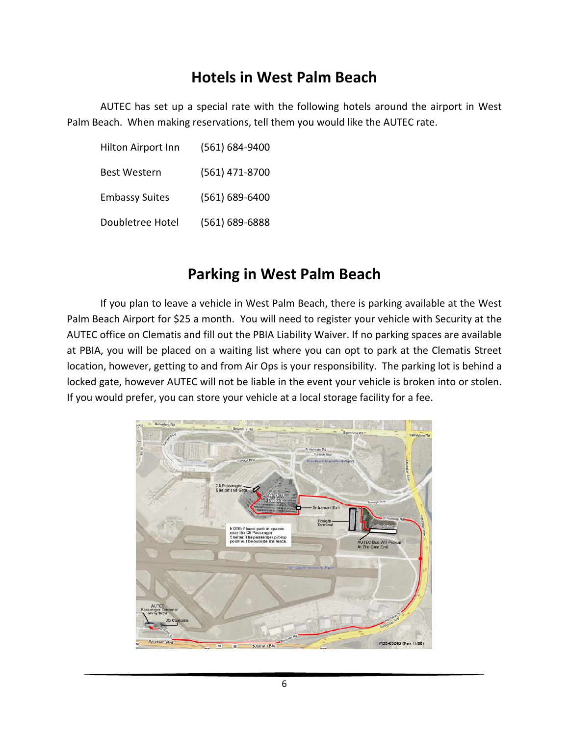## **Hotels in West Palm Beach**

AUTEC has set up a special rate with the following hotels around the airport in West Palm Beach. When making reservations, tell them you would like the AUTEC rate.

| Hilton Airport Inn    | (561) 684-9400     |
|-----------------------|--------------------|
| Best Western          | (561) 471-8700     |
| <b>Embassy Suites</b> | $(561) 689 - 6400$ |
| Doubletree Hotel      | (561) 689-6888     |

### **Parking in West Palm Beach**

If you plan to leave a vehicle in West Palm Beach, there is parking available at the West Palm Beach Airport for \$25 a month. You will need to register your vehicle with Security at the AUTEC office on Clematis and fill out the PBIA Liability Waiver. If no parking spaces are available at PBIA, you will be placed on a waiting list where you can opt to park at the Clematis Street location, however, getting to and from Air Ops is your responsibility. The parking lot is behind a locked gate, however AUTEC will not be liable in the event your vehicle is broken into or stolen. If you would prefer, you can store your vehicle at a local storage facility for a fee.

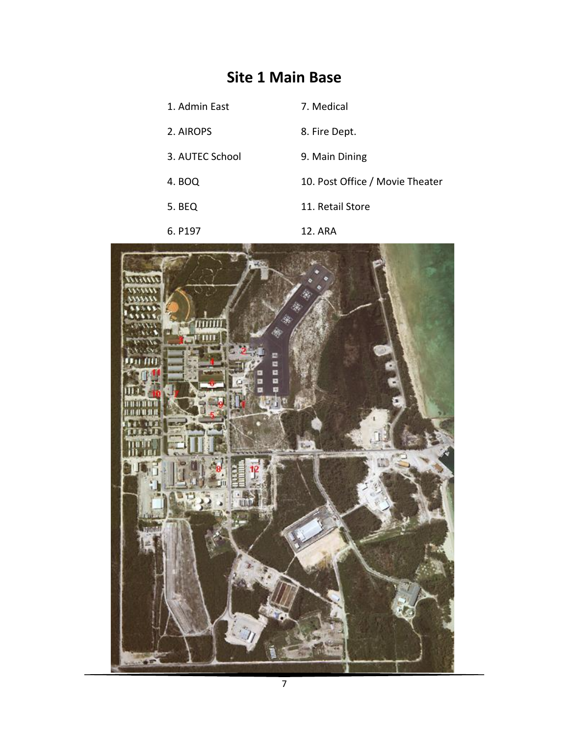# **Site 1 Main Base**

1. Admin East 7. Medical 2. AIROPS 8. Fire Dept. 3. AUTEC School 9. Main Dining 4. BOQ 10. Post Office / Movie Theater 5. BEQ 11. Retail Store 6. P197 12. ARA

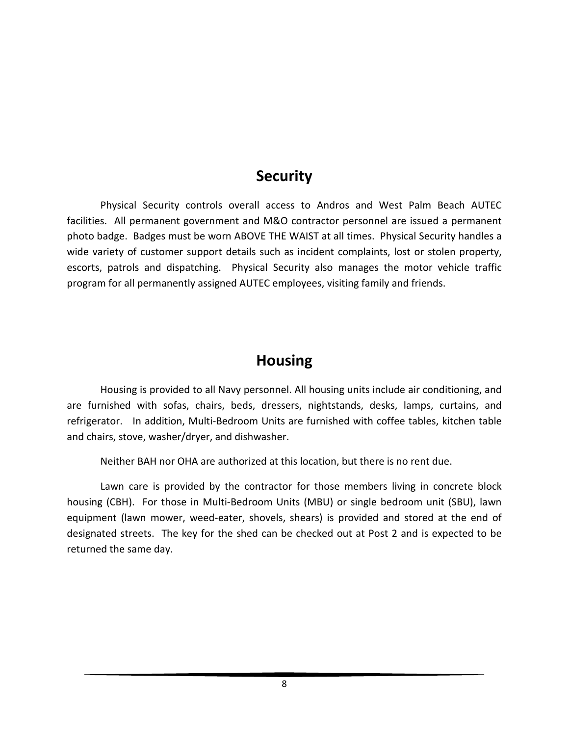#### **Security**

Physical Security controls overall access to Andros and West Palm Beach AUTEC facilities. All permanent government and M&O contractor personnel are issued a permanent photo badge. Badges must be worn ABOVE THE WAIST at all times. Physical Security handles a wide variety of customer support details such as incident complaints, lost or stolen property, escorts, patrols and dispatching. Physical Security also manages the motor vehicle traffic program for all permanently assigned AUTEC employees, visiting family and friends.

### **Housing**

Housing is provided to all Navy personnel. All housing units include air conditioning, and are furnished with sofas, chairs, beds, dressers, nightstands, desks, lamps, curtains, and refrigerator. In addition, Multi-Bedroom Units are furnished with coffee tables, kitchen table and chairs, stove, washer/dryer, and dishwasher.

Neither BAH nor OHA are authorized at this location, but there is no rent due.

Lawn care is provided by the contractor for those members living in concrete block housing (CBH). For those in Multi-Bedroom Units (MBU) or single bedroom unit (SBU), lawn equipment (lawn mower, weed-eater, shovels, shears) is provided and stored at the end of designated streets. The key for the shed can be checked out at Post 2 and is expected to be returned the same day.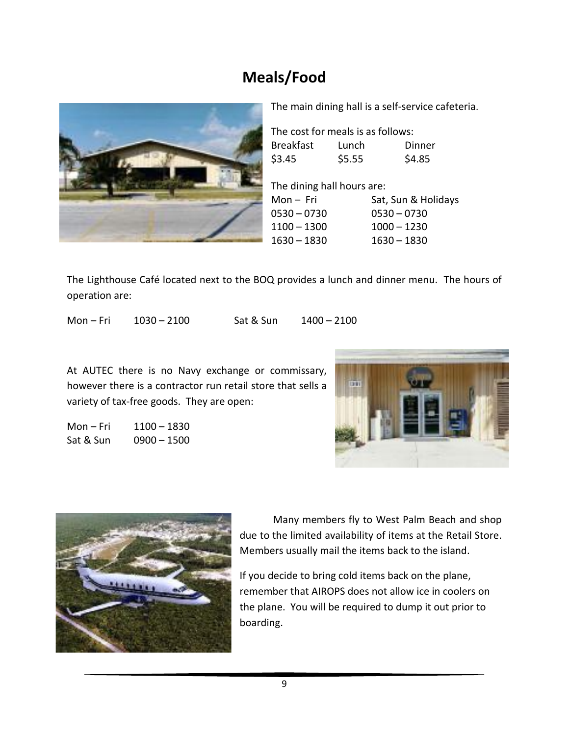# **Meals/Food**



The main dining hall is a self-service cafeteria.

The cost for meals is as follows: Breakfast Lunch Dinner  $$3.45$   $$5.55$   $$4.85$ 

The dining hall hours are: Mon – Fri Sat, Sun & Holidays 0530 – 0730 0530 – 0730 1100 – 1300 1000 – 1230 1630 – 1830 1630 – 1830

The Lighthouse Café located next to the BOQ provides a lunch and dinner menu. The hours of operation are:

Mon – Fri 1030 – 2100 Sat & Sun 1400 – 2100

At AUTEC there is no Navy exchange or commissary, however there is a contractor run retail store that sells a variety of tax-free goods. They are open:

Mon – Fri 1100 – 1830 Sat & Sun 0900 – 1500





Many members fly to West Palm Beach and shop due to the limited availability of items at the Retail Store. Members usually mail the items back to the island.

If you decide to bring cold items back on the plane, remember that AIROPS does not allow ice in coolers on the plane. You will be required to dump it out prior to boarding.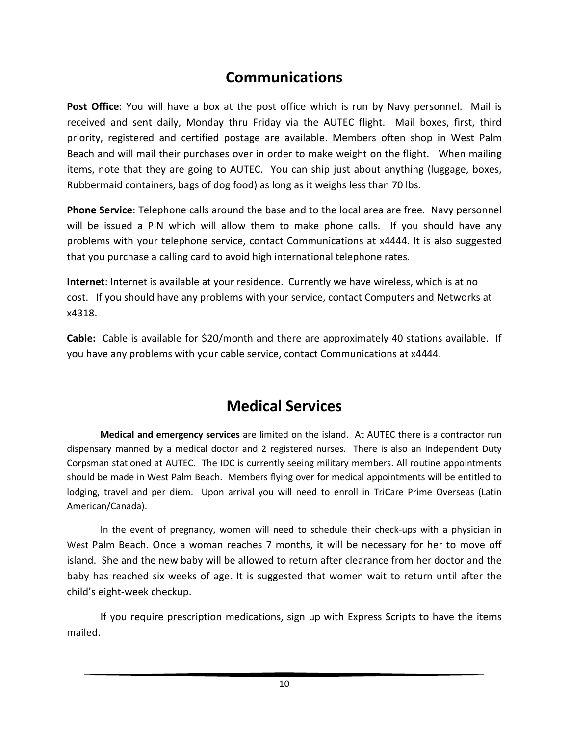# **Communications**

**Post Office**: You will have a box at the post office which is run by Navy personnel. Mail is received and sent daily, Monday thru Friday via the AUTEC flight. Mail boxes, first, third priority, registered and certified postage are available. Members often shop in West Palm Beach and will mail their purchases over in order to make weight on the flight. When mailing items, note that they are going to AUTEC. You can ship just about anything (luggage, boxes, Rubbermaid containers, bags of dog food) as long as it weighs less than 70 lbs.

**Phone Service**: Telephone calls around the base and to the local area are free. Navy personnel will be issued a PIN which will allow them to make phone calls. If you should have any problems with your telephone service, contact Communications at x4444. It is also suggested that you purchase a calling card to avoid high international telephone rates.

**Internet**: Internet is available at your residence. Currently we have wireless, which is at no cost. If you should have any problems with your service, contact Computers and Networks at x4318.

**Cable:** Cable is available for \$20/month and there are approximately 40 stations available. If you have any problems with your cable service, contact Communications at x4444.

## **Medical Services**

**Medical and emergency services** are limited on the island. At AUTEC there is a contractor run dispensary manned by a medical doctor and 2 registered nurses. There is also an Independent Duty Corpsman stationed at AUTEC. The IDC is currently seeing military members. All routine appointments should be made in West Palm Beach. Members flying over for medical appointments will be entitled to lodging, travel and per diem. Upon arrival you will need to enroll in TriCare Prime Overseas (Latin American/Canada).

In the event of pregnancy, women will need to schedule their check-ups with a physician in West Palm Beach. Once a woman reaches 7 months, it will be necessary for her to move off island. She and the new baby will be allowed to return after clearance from her doctor and the baby has reached six weeks of age. It is suggested that women wait to return until after the child's eight-week checkup.

If you require prescription medications, sign up with Express Scripts to have the items mailed.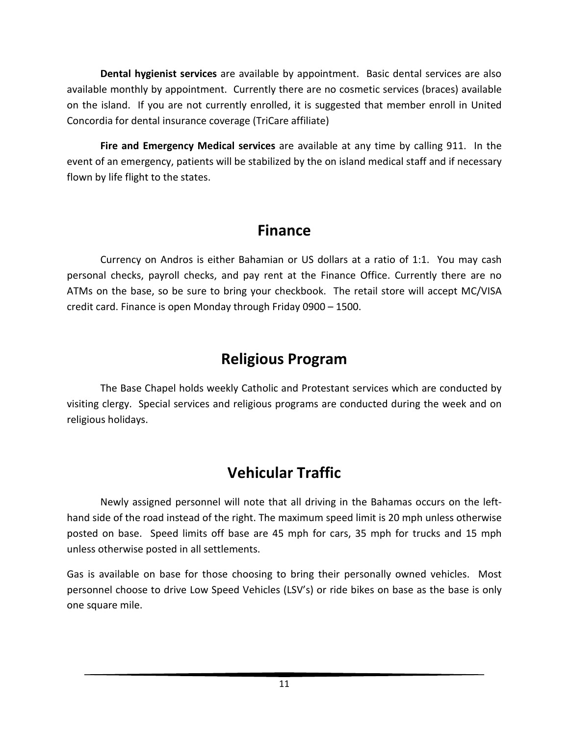**Dental hygienist services** are available by appointment. Basic dental services are also available monthly by appointment. Currently there are no cosmetic services (braces) available on the island. If you are not currently enrolled, it is suggested that member enroll in United Concordia for dental insurance coverage (TriCare affiliate)

**Fire and Emergency Medical services** are available at any time by calling 911. In the event of an emergency, patients will be stabilized by the on island medical staff and if necessary flown by life flight to the states.

# **Finance**

Currency on Andros is either Bahamian or US dollars at a ratio of 1:1. You may cash personal checks, payroll checks, and pay rent at the Finance Office. Currently there are no ATMs on the base, so be sure to bring your checkbook. The retail store will accept MC/VISA credit card. Finance is open Monday through Friday 0900 – 1500.

# **Religious Program**

The Base Chapel holds weekly Catholic and Protestant services which are conducted by visiting clergy. Special services and religious programs are conducted during the week and on religious holidays.

# **Vehicular Traffic**

Newly assigned personnel will note that all driving in the Bahamas occurs on the lefthand side of the road instead of the right. The maximum speed limit is 20 mph unless otherwise posted on base. Speed limits off base are 45 mph for cars, 35 mph for trucks and 15 mph unless otherwise posted in all settlements.

Gas is available on base for those choosing to bring their personally owned vehicles. Most personnel choose to drive Low Speed Vehicles (LSV's) or ride bikes on base as the base is only one square mile.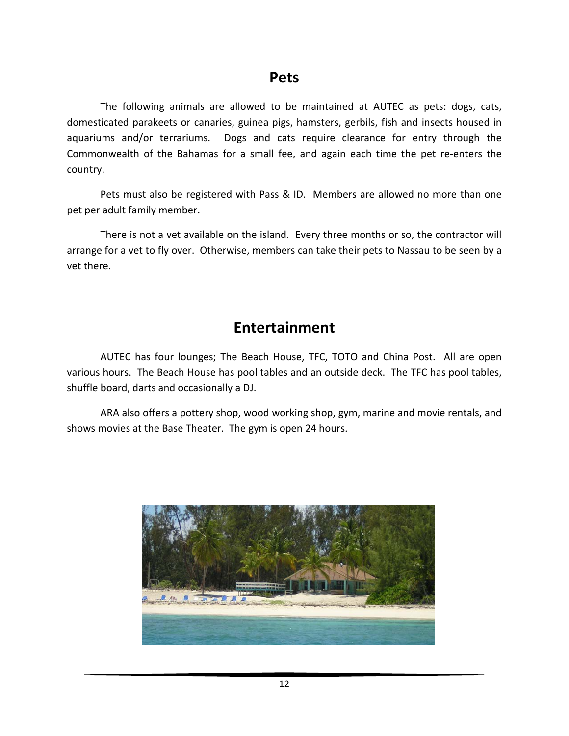#### **Pets**

The following animals are allowed to be maintained at AUTEC as pets: dogs, cats, domesticated parakeets or canaries, guinea pigs, hamsters, gerbils, fish and insects housed in aquariums and/or terrariums. Dogs and cats require clearance for entry through the Commonwealth of the Bahamas for a small fee, and again each time the pet re-enters the country.

Pets must also be registered with Pass & ID. Members are allowed no more than one pet per adult family member.

There is not a vet available on the island. Every three months or so, the contractor will arrange for a vet to fly over. Otherwise, members can take their pets to Nassau to be seen by a vet there.

### **Entertainment**

AUTEC has four lounges; The Beach House, TFC, TOTO and China Post. All are open various hours. The Beach House has pool tables and an outside deck. The TFC has pool tables, shuffle board, darts and occasionally a DJ.

ARA also offers a pottery shop, wood working shop, gym, marine and movie rentals, and shows movies at the Base Theater. The gym is open 24 hours.

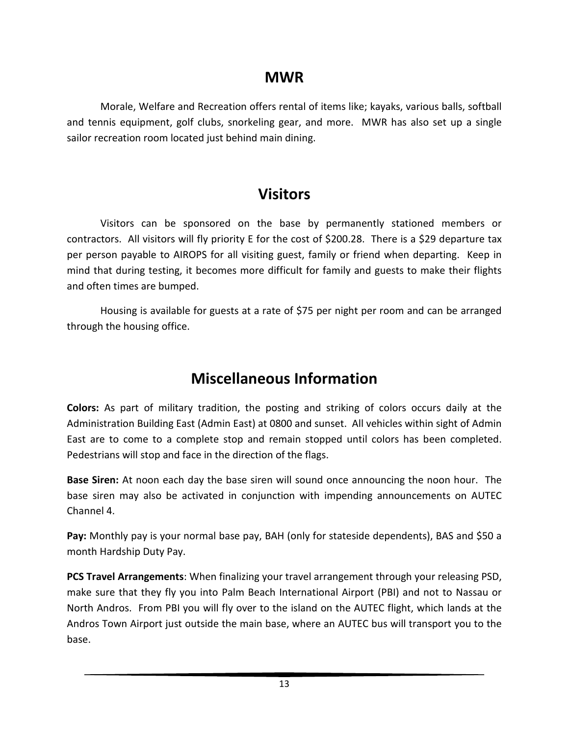#### **MWR**

Morale, Welfare and Recreation offers rental of items like; kayaks, various balls, softball and tennis equipment, golf clubs, snorkeling gear, and more. MWR has also set up a single sailor recreation room located just behind main dining.

### **Visitors**

Visitors can be sponsored on the base by permanently stationed members or contractors. All visitors will fly priority E for the cost of \$200.28. There is a \$29 departure tax per person payable to AIROPS for all visiting guest, family or friend when departing. Keep in mind that during testing, it becomes more difficult for family and guests to make their flights and often times are bumped.

Housing is available for guests at a rate of \$75 per night per room and can be arranged through the housing office.

# **Miscellaneous Information**

**Colors:** As part of military tradition, the posting and striking of colors occurs daily at the Administration Building East (Admin East) at 0800 and sunset. All vehicles within sight of Admin East are to come to a complete stop and remain stopped until colors has been completed. Pedestrians will stop and face in the direction of the flags.

**Base Siren:** At noon each day the base siren will sound once announcing the noon hour. The base siren may also be activated in conjunction with impending announcements on AUTEC Channel 4.

**Pay:** Monthly pay is your normal base pay, BAH (only for stateside dependents), BAS and \$50 a month Hardship Duty Pay.

**PCS Travel Arrangements**: When finalizing your travel arrangement through your releasing PSD, make sure that they fly you into Palm Beach International Airport (PBI) and not to Nassau or North Andros. From PBI you will fly over to the island on the AUTEC flight, which lands at the Andros Town Airport just outside the main base, where an AUTEC bus will transport you to the base.